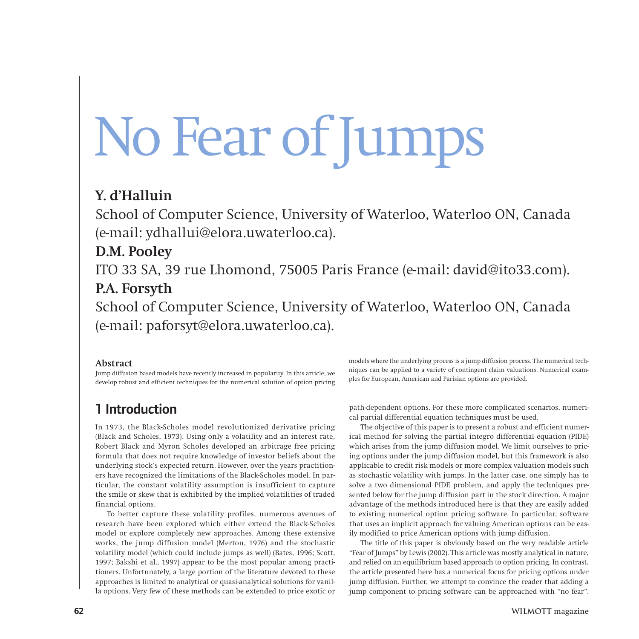# No Fear of Jumps

## **Y. d'Halluin**

School of Computer Science, University of Waterloo, Waterloo ON, Canada (e-mail: ydhallui@elora.uwaterloo.ca).

# **D.M. Pooley**

ITO 33 SA, 39 rue Lhomond, 75005 Paris France (e-mail: david@ito33.com). **P.A. Forsyth**

School of Computer Science, University of Waterloo, Waterloo ON, Canada (e-mail: paforsyt@elora.uwaterloo.ca).

## **Abstract**

Jump diffusion based models have recently increased in popularity. In this article, we develop robust and efficient techniques for the numerical solution of option pricing

# 1 Introduction

In 1973, the Black-Scholes model revolutionized derivative pricing (Black and Scholes, 1973). Using only a volatility and an interest rate, Robert Black and Myron Scholes developed an arbitrage free pricing formula that does not require knowledge of investor beliefs about the underlying stock's expected return. However, over the years practitioners have recognized the limitations of the Black-Scholes model. In particular, the constant volatility assumption is insufficient to capture the smile or skew that is exhibited by the implied volatilities of traded financial options.

To better capture these volatility profiles, numerous avenues of research have been explored which either extend the Black-Scholes model or explore completely new approaches. Among these extensive works, the jump diffusion model (Merton, 1976) and the stochastic volatility model (which could include jumps as well) (Bates, 1996; Scott, 1997; Bakshi et al., 1997) appear to be the most popular among practitioners. Unfortunately, a large portion of the literature devoted to these approaches is limited to analytical or quasi-analytical solutions for vanilla options. Very few of these methods can be extended to price exotic or

models where the underlying process is a jump diffusion process. The numerical techniques can be applied to a variety of contingent claim valuations. Numerical examples for European, American and Parisian options are provided.

path-dependent options. For these more complicated scenarios, numerical partial differential equation techniques must be used.

The objective of this paper is to present a robust and efficient numerical method for solving the partial integro differential equation (PIDE) which arises from the jump diffusion model. We limit ourselves to pricing options under the jump diffusion model, but this framework is also applicable to credit risk models or more complex valuation models such as stochastic volatility with jumps. In the latter case, one simply has to solve a two dimensional PIDE problem, and apply the techniques presented below for the jump diffusion part in the stock direction. A major advantage of the methods introduced here is that they are easily added to existing numerical option pricing software. In particular, software that uses an implicit approach for valuing American options can be easily modified to price American options with jump diffusion.

The title of this paper is obviously based on the very readable article "Fear of Jumps" by Lewis (2002). This article was mostly analytical in nature, and relied on an equilibrium based approach to option pricing. In contrast, the article presented here has a numerical focus for pricing options under jump diffusion. Further, we attempt to convince the reader that adding a jump component to pricing software can be approached with "no fear".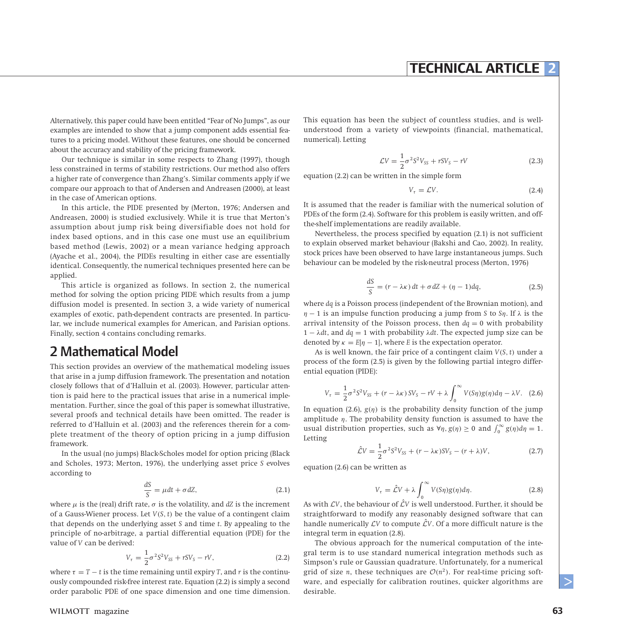Alternatively, this paper could have been entitled "Fear of No Jumps", as our examples are intended to show that a jump component adds essential features to a pricing model. Without these features, one should be concerned about the accuracy and stability of the pricing framework.

Our technique is similar in some respects to Zhang (1997), though less constrained in terms of stability restrictions. Our method also offers a higher rate of convergence than Zhang's. Similar comments apply if we compare our approach to that of Andersen and Andreasen (2000), at least in the case of American options.

In this article, the PIDE presented by (Merton, 1976; Andersen and Andreasen, 2000) is studied exclusively. While it is true that Merton's assumption about jump risk being diversifiable does not hold for index based options, and in this case one must use an equilibrium based method (Lewis, 2002) or a mean variance hedging approach (Ayache et al., 2004), the PIDEs resulting in either case are essentially identical. Consequently, the numerical techniques presented here can be applied.

This article is organized as follows. In section 2, the numerical method for solving the option pricing PIDE which results from a jump diffusion model is presented. In section 3, a wide variety of numerical examples of exotic, path-dependent contracts are presented. In particular, we include numerical examples for American, and Parisian options. Finally, section 4 contains concluding remarks.

## 2 Mathematical Model

This section provides an overview of the mathematical modeling issues that arise in a jump diffusion framework. The presentation and notation closely follows that of d'Halluin et al. (2003). However, particular attention is paid here to the practical issues that arise in a numerical implementation. Further, since the goal of this paper is somewhat illustrative, several proofs and technical details have been omitted. The reader is referred to d'Halluin et al. (2003) and the references therein for a complete treatment of the theory of option pricing in a jump diffusion framework.

In the usual (no jumps) Black-Scholes model for option pricing (Black and Scholes, 1973; Merton, 1976), the underlying asset price *S* evolves according to

$$
\frac{dS}{S} = \mu dt + \sigma dZ, \qquad (2.1)
$$

where  $\mu$  is the (real) drift rate,  $\sigma$  is the volatility, and  $dZ$  is the increment of a Gauss-Wiener process. Let *V(S, t)* be the value of a contingent claim that depends on the underlying asset *S* and time *t*. By appealing to the principle of no-arbitrage, a partial differential equation (PDE) for the value of *V* can be derived:

$$
V_{\tau} = \frac{1}{2}\sigma^2 S^2 V_{SS} + rSV_S - rV, \qquad (2.2)
$$

where  $\tau = T - t$  is the time remaining until expiry *T*, and *r* is the continuously compounded risk-free interest rate. Equation (2.2) is simply a second order parabolic PDE of one space dimension and one time dimension. This equation has been the subject of countless studies, and is wellunderstood from a variety of viewpoints (financial, mathematical, numerical). Letting

$$
\mathcal{L}V = \frac{1}{2}\sigma^2 S^2 V_{SS} + rSV_S - rV
$$
\n(2.3)

equation (2.2) can be written in the simple form

$$
V_{\tau} = \mathcal{L}V. \tag{2.4}
$$

It is assumed that the reader is familiar with the numerical solution of PDEs of the form (2.4). Software for this problem is easily written, and offthe-shelf implementations are readily available.

Nevertheless, the process specified by equation (2.1) is not sufficient to explain observed market behaviour (Bakshi and Cao, 2002). In reality, stock prices have been observed to have large instantaneous jumps. Such behaviour can be modeled by the risk-neutral process (Merton, 1976)

$$
\frac{dS}{S} = (r - \lambda \kappa) dt + \sigma dZ + (\eta - 1)dq,
$$
\n(2.5)

where *dq* is a Poisson process (independent of the Brownian motion), and *η* − 1 is an impulse function producing a jump from *S* to *Sη*. If *λ* is the arrival intensity of the Poisson process, then  $dq = 0$  with probability 1 − *λdt*, and *dq* = 1 with probability *λdt*. The expected jump size can be denoted by  $\kappa = E[\eta - 1]$ , where *E* is the expectation operator.

As is well known, the fair price of a contingent claim *V(S, t)* under a process of the form (2.5) is given by the following partial integro differential equation (PIDE):

$$
V_{\tau} = \frac{1}{2}\sigma^2 S^2 V_{SS} + (r - \lambda \kappa) S V_S - rV + \lambda \int_0^{\infty} V(S\eta) g(\eta) d\eta - \lambda V. \quad (2.6)
$$

In equation (2.6),  $g(\eta)$  is the probability density function of the jump amplitude *η*. The probability density function is assumed to have the usual distribution properties, such as  $\forall \eta, g(\eta) \ge 0$  and  $\int_0^\infty g(\eta) d\eta = 1$ . Letting

$$
\hat{\mathcal{L}}V = \frac{1}{2}\sigma^2 S^2 V_{SS} + (r - \lambda \kappa)SV_S - (r + \lambda)V,\tag{2.7}
$$

equation (2.6) can be written as

$$
V_{\tau} = \hat{\mathcal{L}}V + \lambda \int_0^{\infty} V(S\eta)g(\eta)d\eta.
$$
 (2.8)

As with  $LV$ , the behaviour of  $\hat{\mathcal{L}}V$  is well understood. Further, it should be straightforward to modify any reasonably designed software that can handle numerically  $\mathcal{L}V$  to compute  $\hat{\mathcal{L}}V$ . Of a more difficult nature is the integral term in equation (2.8).

The obvious approach for the numerical computation of the integral term is to use standard numerical integration methods such as Simpson's rule or Gaussian quadrature. Unfortunately, for a numerical grid of size *n*, these techniques are  $O(n^2)$ . For real-time pricing software, and especially for calibration routines, quicker algorithms are desirable.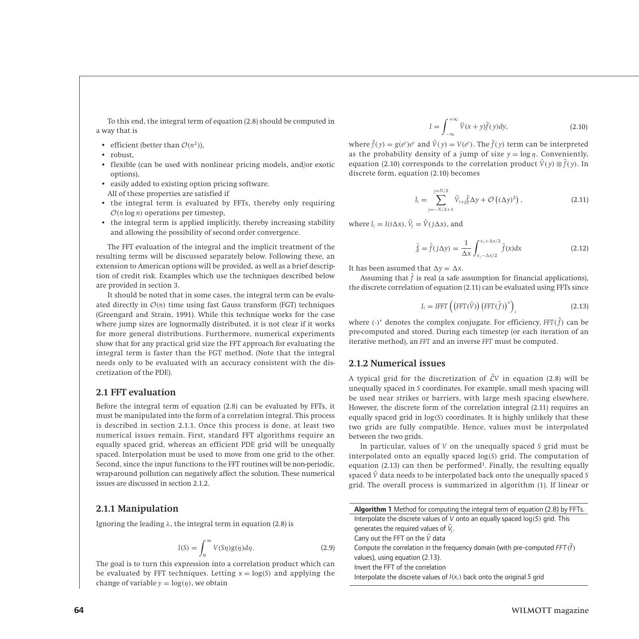To this end, the integral term of equation (2.8) should be computed in a way that is

- efficient (better than  $\mathcal{O}(n^2)$ ),
- robust,
- flexible (can be used with nonlinear pricing models, and/or exotic options),
- easily added to existing option pricing software. All of these properties are satisfied if
- the integral term is evaluated by FFTs, thereby only requiring O*(n* log *n)* operations per timestep,
- the integral term is applied implicitly, thereby increasing stability and allowing the possibility of second order convergence.

The FFT evaluation of the integral and the implicit treatment of the resulting terms will be discussed separately below. Following these, an extension to American options will be provided, as well as a brief description of credit risk. Examples which use the techniques described below are provided in section 3.

It should be noted that in some cases, the integral term can be evaluated directly in  $O(n)$  time using fast Gauss transform (FGT) techniques (Greengard and Strain, 1991). While this technique works for the case where jump sizes are lognormally distributed, it is not clear if it works for more general distributions. Furthermore, numerical experiments show that for any practical grid size the FFT approach for evaluating the integral term is faster than the FGT method. (Note that the integral needs only to be evaluated with an accuracy consistent with the discretization of the PDE).

### **2.1 FFT evaluation**

Before the integral term of equation (2.8) can be evaluated by FFTs, it must be manipulated into the form of a correlation integral. This process is described in section 2.1.1. Once this process is done, at least two numerical issues remain. First, standard FFT algorithms require an equally spaced grid, whereas an efficient PDE grid will be unequally spaced. Interpolation must be used to move from one grid to the other. Second, since the input functions to the FFT routines will be non-periodic, wrap-around pollution can negatively affect the solution. These numerical issues are discussed in section 2.1.2.

#### **2.1.1 Manipulation**

Ignoring the leading *λ*, the integral term in equation (2.8) is

$$
I(S) = \int_0^\infty V(S\eta)g(\eta)d\eta.
$$
 (2.9)

The goal is to turn this expression into a correlation product which can be evaluated by FFT techniques. Letting  $x = \log(S)$  and applying the change of variable  $y = log(\eta)$ , we obtain

$$
I = \int_{-\infty}^{+\infty} \bar{V}(x+y)\bar{f}(y)dy,
$$
 (2.10)

where  $\bar{f}(y) = g(e^y)e^y$  and  $\bar{V}(y) = V(e^y)$ . The  $\bar{f}(y)$  term can be interpreted as the probability density of a jump of size  $y = log \eta$ . Conveniently, equation (2.10) corresponds to the correlation product  $\bar{V}(y) \otimes \bar{f}(y)$ . In discrete form, equation (2.10) becomes

$$
I_{i} = \sum_{j=-N/2+1}^{j=N/2} \bar{V}_{i+j} \bar{f}_{j} \Delta y + \mathcal{O}\left((\Delta y)^{2}\right),
$$
 (2.11)

where  $I_i = I(i\Delta x)$ ,  $\bar{V}_j = \bar{V}(j\Delta x)$ , and

$$
\bar{f}_j = \bar{f}(j\Delta y) = \frac{1}{\Delta x} \int_{x_j - \Delta x/2}^{x_j + \Delta x/2} \bar{f}(x) dx
$$
\n(2.12)

It has been assumed that  $\Delta y = \Delta x$ .

Assuming that  $\bar{f}$  is real (a safe assumption for financial applications), the discrete correlation of equation (2.11) can be evaluated using FFTs since

$$
I_i = IFFT\left(\left(FFT(\bar{V})\right)\left(FFT(\bar{f})\right)^*\right)_i\tag{2.13}
$$

where *(*·*)*<sup>∗</sup> denotes the complex conjugate. For efficiency, *FFT(* ¯ *f)* can be pre-computed and stored. During each timestep (or each iteration of an iterative method), an *FFT* and an inverse *FFT* must be computed.

#### **2.1.2 Numerical issues**

A typical grid for the discretization of  $\hat{\mathcal{L}}V$  in equation (2.8) will be unequally spaced in *S* coordinates. For example, small mesh spacing will be used near strikes or barriers, with large mesh spacing elsewhere. However, the discrete form of the correlation integral (2.11) requires an equally spaced grid in log*(S)* coordinates. It is highly unlikely that these two grids are fully compatible. Hence, values must be interpolated between the two grids.

In particular, values of *V* on the unequally spaced *S* grid must be interpolated onto an equally spaced log*(S)* grid. The computation of equation (2.13) can then be performed<sup>1</sup>. Finally, the resulting equally spaced  $\bar{V}$  data needs to be interpolated back onto the unequally spaced *S* grid. The overall process is summarized in algorithm (1). If linear or

| <b>Algorithm 1</b> Method for computing the integral term of equation (2.8) by FFTs. |
|--------------------------------------------------------------------------------------|
| Interpolate the discrete values of V onto an equally spaced $log(S)$ grid. This      |
| generates the required values of $V_i$ .                                             |
| Carry out the FFT on the $\bar{V}$ data                                              |
| Compute the correlation in the frequency domain (with pre-computed $FFT(f)$          |
| values), using equation (2.13).                                                      |
| Invert the FFT of the correlation                                                    |
| Interpolate the discrete values of $I(x_i)$ back onto the original S grid            |
|                                                                                      |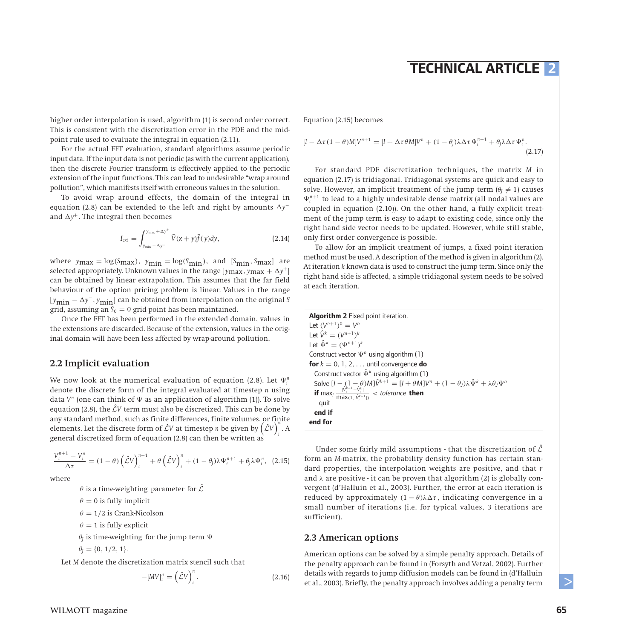## **TECHNICAL ARTICLE 2**

higher order interpolation is used, algorithm (1) is second order correct. This is consistent with the discretization error in the PDE and the midpoint rule used to evaluate the integral in equation (2.11).

For the actual FFT evaluation, standard algorithms assume periodic input data. If the input data is not periodic (as with the current application), then the discrete Fourier transform is effectively applied to the periodic extension of the input functions. This can lead to undesirable "wrap around pollution", which manifests itself with erroneous values in the solution.

To avoid wrap around effects, the domain of the integral in equation (2.8) can be extended to the left and right by amounts  *y*<sup>−</sup> and  $\Delta y^+$ . The integral then becomes

$$
I_{ext} = \int_{y_{\min} - \Delta y^{-}}^{y_{\max} + \Delta y^{+}} \overline{V}(x+y)\overline{f}(y)dy,
$$
\n(2.14)

where  $y_{\text{max}} = \log(S_{\text{max}})$ ,  $y_{\text{min}} = \log(S_{\text{min}})$ , and  $[S_{\text{min}}$ ,  $S_{\text{max}}]$  are selected appropriately. Unknown values in the range  $[y_{\text{max}}, y_{\text{max}} + \Delta y^+]$ can be obtained by linear extrapolation. This assumes that the far field behaviour of the option pricing problem is linear. Values in the range [ *<sup>y</sup>*min <sup>−</sup>  *<sup>y</sup>*<sup>−</sup>*, <sup>y</sup>*min] can be obtained from interpolation on the original *<sup>S</sup>* grid, assuming an  $S_0 = 0$  grid point has been maintained.

Once the FFT has been performed in the extended domain, values in the extensions are discarded. Because of the extension, values in the original domain will have been less affected by wrap-around pollution.

#### **2.2 Implicit evaluation**

We now look at the numerical evaluation of equation (2.8). Let  $\Psi^{\text{n}}_{i}$ denote the discrete form of the integral evaluated at timestep *n* using data  $V^n$  (one can think of  $\Psi$  as an application of algorithm (1)). To solve equation (2.8), the  $\hat{\mathcal{L}}V$  term must also be discretized. This can be done by any standard method, such as finite differences, finite volumes, or finite elements. Let the discrete form of  $\hat{\mathcal{L}}V$  at timestep *n* be given by  $(\hat{\mathcal{L}}V)$ . *i* general discretized form of equation (2.8) can then be written as

$$
\frac{V_i^{n+1} - V_i^n}{\Delta \tau} = (1 - \theta) \left(\hat{\mathcal{L}} V\right)_i^{n+1} + \theta \left(\hat{\mathcal{L}} V\right)_i^n + (1 - \theta_j) \lambda \Psi_i^{n+1} + \theta_j \lambda \Psi_i^n, \quad (2.15)
$$

where

 $\theta$  is a time-weighting parameter for  $\hat{\mathcal{L}}$ 

 $\theta = 0$  is fully implicit

 $\theta = 1/2$  is Crank-Nicolson

 $\theta = 1$  is fully explicit

 $\theta$ <sup>*I*</sup> is time-weighting for the jump term  $\Psi$ 

$$
\theta_{J} = \{0, 1/2, 1\}.
$$

Let *M* denote the discretization matrix stencil such that

$$
-[MV]^n_i = \left(\hat{\mathcal{L}}V\right)^n_i. \tag{2.16}
$$

Equation (2.15) becomes

$$
[I - \Delta \tau (1 - \theta)M]V^{n+1} = [I + \Delta \tau \theta M]V^n + (1 - \theta_J)\lambda \Delta \tau \Psi_i^{n+1} + \theta_J \lambda \Delta \tau \Psi_i^n.
$$
\n(2.17)

For standard PDE discretization techniques, the matrix *M* in equation (2.17) is tridiagonal. Tridiagonal systems are quick and easy to solve. However, an implicit treatment of the jump term  $(\theta_1 \neq 1)$  causes  $\Psi^{n+1}_i$  to lead to a highly undesirable dense matrix (all nodal values are coupled in equation (2.10)). On the other hand, a fully explicit treatment of the jump term is easy to adapt to existing code, since only the right hand side vector needs to be updated. However, while still stable, only first order convergence is possible.

To allow for an implicit treatment of jumps, a fixed point iteration method must be used. A description of the method is given in algorithm (2). At iteration *k* known data is used to construct the jump term. Since only the right hand side is affected, a simple tridiagonal system needs to be solved at each iteration.

| Algorithm 2 Fixed point iteration.                                                                                                                                                                                                              |
|-------------------------------------------------------------------------------------------------------------------------------------------------------------------------------------------------------------------------------------------------|
| Let $(V^{n+1})^0 = V^n$                                                                                                                                                                                                                         |
| Let $\hat{V}^k = (V^{n+1})^k$                                                                                                                                                                                                                   |
| Let $\hat{\Psi}^{k} = (\Psi^{n+1})^{k}$                                                                                                                                                                                                         |
| Construct vector $\Psi^n$ using algorithm (1)                                                                                                                                                                                                   |
| <b>for</b> $k = 0, 1, 2, $ until convergence <b>do</b>                                                                                                                                                                                          |
| Construct vector $\hat{\Psi}^k$ using algorithm (1)                                                                                                                                                                                             |
|                                                                                                                                                                                                                                                 |
| Solve $[I - (1 - \theta)M]\hat{V}^{k+1} = [I + \theta M]V^n + (1 - \theta_J)\lambda \hat{\Psi}^k + \lambda \theta_J \Psi^n$<br>if max <sub>i</sub> $\frac{ \hat{V}_i^{k+1} - \hat{V}_i^k }{\max(1,  \hat{V}_i^{k+1} )}$ < tolerance <b>then</b> |
| quit                                                                                                                                                                                                                                            |
| end if                                                                                                                                                                                                                                          |
| end for                                                                                                                                                                                                                                         |
|                                                                                                                                                                                                                                                 |

Under some fairly mild assumptions - that the discretization of  $\hat{\mathcal{L}}$ form an *M*-matrix, the probability density function has certain standard properties, the interpolation weights are positive, and that *r* and  $\lambda$  are positive - it can be proven that algorithm (2) is globally convergent (d'Halluin et al., 2003). Further, the error at each iteration is reduced by approximately  $(1 - \theta)\lambda\Delta\tau$ , indicating convergence in a small number of iterations (i.e. for typical values, 3 iterations are sufficient).

#### **2.3 American options**

American options can be solved by a simple penalty approach. Details of the penalty approach can be found in (Forsyth and Vetzal, 2002). Further details with regards to jump diffusion models can be found in (d'Halluin et al., 2003). Briefly, the penalty approach involves adding a penalty term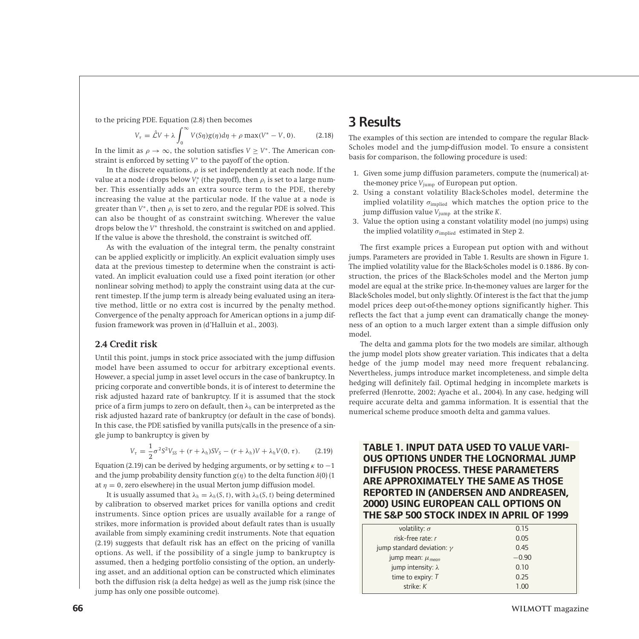to the pricing PDE. Equation (2.8) then becomes

$$
V_{\tau} = \hat{\mathcal{L}}V + \lambda \int_0^{\infty} V(S\eta)g(\eta)d\eta + \rho \max(V^* - V, 0). \tag{2.18}
$$

In the limit as  $\rho \to \infty$ , the solution satisfies  $V > V^*$ . The American constraint is enforced by setting *V*<sup>∗</sup> to the payoff of the option.

In the discrete equations,  $\rho$  is set independently at each node. If the value at a node *i* drops below  $V_i^*$  (the payoff), then  $\rho_i$  is set to a large number. This essentially adds an extra source term to the PDE, thereby increasing the value at the particular node. If the value at a node is greater than  $V^*$ , then  $\rho_i$  is set to zero, and the regular PDE is solved. This can also be thought of as constraint switching. Wherever the value drops below the *V*<sup>∗</sup> threshold, the constraint is switched on and applied. If the value is above the threshold, the constraint is switched off.

As with the evaluation of the integral term, the penalty constraint can be applied explicitly or implicitly. An explicit evaluation simply uses data at the previous timestep to determine when the constraint is activated. An implicit evaluation could use a fixed point iteration (or other nonlinear solving method) to apply the constraint using data at the current timestep. If the jump term is already being evaluated using an iterative method, little or no extra cost is incurred by the penalty method. Convergence of the penalty approach for American options in a jump diffusion framework was proven in (d'Halluin et al., 2003).

#### **2.4 Credit risk**

Until this point, jumps in stock price associated with the jump diffusion model have been assumed to occur for arbitrary exceptional events. However, a special jump in asset level occurs in the case of bankruptcy. In pricing corporate and convertible bonds, it is of interest to determine the risk adjusted hazard rate of bankruptcy. If it is assumed that the stock price of a firm jumps to zero on default, then *λ<sup>h</sup>* can be interpreted as the risk adjusted hazard rate of bankruptcy (or default in the case of bonds). In this case, the PDE satisfied by vanilla puts/calls in the presence of a single jump to bankruptcy is given by

$$
V_{\tau} = \frac{1}{2}\sigma^2 S^2 V_{SS} + (r + \lambda_h)SV_S - (r + \lambda_h)V + \lambda_h V(0, \tau).
$$
 (2.19)

Equation (2.19) can be derived by hedging arguments, or by setting *κ* to −1 and the jump probability density function  $g(\eta)$  to the delta function  $\delta(0)$  (1) at  $\eta = 0$ , zero elsewhere) in the usual Merton jump diffusion model.

It is usually assumed that  $\lambda_h = \lambda_h(S, t)$ , with  $\lambda_h(S, t)$  being determined by calibration to observed market prices for vanilla options and credit instruments. Since option prices are usually available for a range of strikes, more information is provided about default rates than is usually available from simply examining credit instruments. Note that equation (2.19) suggests that default risk has an effect on the pricing of vanilla options. As well, if the possibility of a single jump to bankruptcy is assumed, then a hedging portfolio consisting of the option, an underlying asset, and an additional option can be constructed which eliminates both the diffusion risk (a delta hedge) as well as the jump risk (since the jump has only one possible outcome).

## 3 Results

The examples of this section are intended to compare the regular Black-Scholes model and the jump-diffusion model. To ensure a consistent basis for comparison, the following procedure is used:

- 1. Given some jump diffusion parameters, compute the (numerical) atthe-money price *V*jump of European put option.
- 2. Using a constant volatility Black-Scholes model, determine the implied volatility *σ*implied which matches the option price to the jump diffusion value *V*jump at the strike *K*.
- 3. Value the option using a constant volatility model (no jumps) using the implied volatility  $\sigma_{\text{implied}}$  estimated in Step 2.

The first example prices a European put option with and without jumps. Parameters are provided in Table 1. Results are shown in Figure 1. The implied volatility value for the Black-Scholes model is 0*.*1886. By construction, the prices of the Black-Scholes model and the Merton jump model are equal at the strike price. In-the-money values are larger for the Black-Scholes model, but only slightly. Of interest is the fact that the jump model prices deep out-of-the-money options significantly higher. This reflects the fact that a jump event can dramatically change the moneyness of an option to a much larger extent than a simple diffusion only model.

The delta and gamma plots for the two models are similar, although the jump model plots show greater variation. This indicates that a delta hedge of the jump model may need more frequent rebalancing. Nevertheless, jumps introduce market incompleteness, and simple delta hedging will definitely fail. Optimal hedging in incomplete markets is preferred (Henrotte, 2002; Ayache et al., 2004). In any case, hedging will require accurate delta and gamma information. It is essential that the numerical scheme produce smooth delta and gamma values.

## **TABLE 1. INPUT DATA USED TO VALUE VARI-OUS OPTIONS UNDER THE LOGNORMAL JUMP DIFFUSION PROCESS. THESE PARAMETERS ARE APPROXIMATELY THE SAME AS THOSE REPORTED IN (ANDERSEN AND ANDREASEN, 2000) USING EUROPEAN CALL OPTIONS ON THE S&P 500 STOCK INDEX IN APRIL OF 1999**

| volatility: $\sigma$              | 0.15    |  |
|-----------------------------------|---------|--|
| risk-free rate: r                 | 0.05    |  |
| jump standard deviation: $\gamma$ | 0.45    |  |
| jump mean: $\mu_{mean}$           | $-0.90$ |  |
| jump intensity: $\lambda$         | 0.10    |  |
| time to expiry: $T$               | 0.25    |  |
| strike: $K$                       | 1 იი    |  |
|                                   |         |  |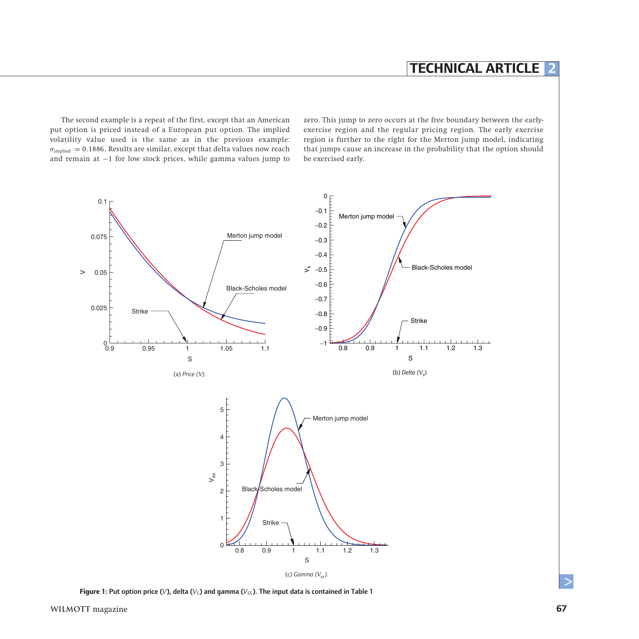The second example is a repeat of the first, except that an American put option is priced instead of a European put option. The implied volatility value used is the same as in the previous example:  $\sigma_{\text{implied}} = 0.1886$ . Results are similar, except that delta values now reach and remain at −1 for low stock prices, while gamma values jump to

zero. This jump to zero occurs at the free boundary between the earlyexercise region and the regular pricing region. The early exercise region is further to the right for the Merton jump model, indicating that jumps cause an increase in the probability that the option should be exercised early.



**Figure 1:** Put option price (*V*), delta (*V<sub>S</sub>*) and gamma (*V<sub>SS</sub>*). The input data is contained in Table 1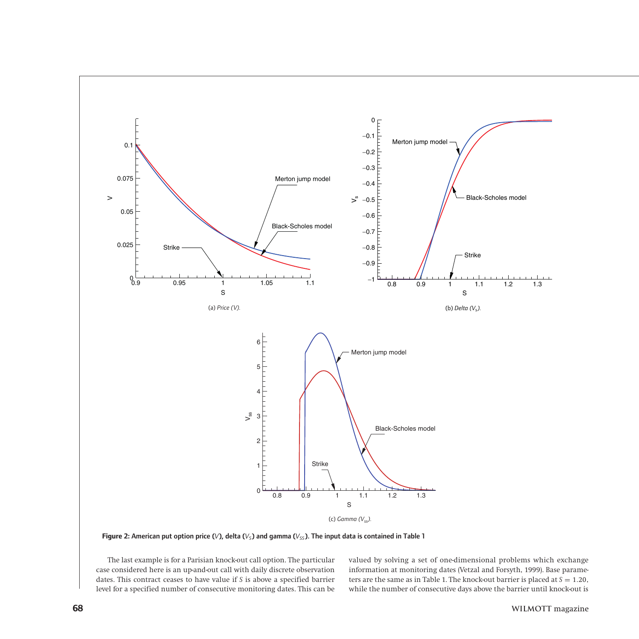

**Figure 2:** American put option price ( $V$ ), delta ( $V<sub>S</sub>$ ) and gamma ( $V<sub>SS</sub>$ ). The input data is contained in Table 1

The last example is for a Parisian knock-out call option. The particular case considered here is an up-and-out call with daily discrete observation dates. This contract ceases to have value if *S* is above a specified barrier level for a specified number of consecutive monitoring dates. This can be

valued by solving a set of one-dimensional problems which exchange information at monitoring dates (Vetzal and Forsyth, 1999). Base parameters are the same as in Table 1. The knock-out barrier is placed at  $S = 1.20$ , while the number of consecutive days above the barrier until knock-out is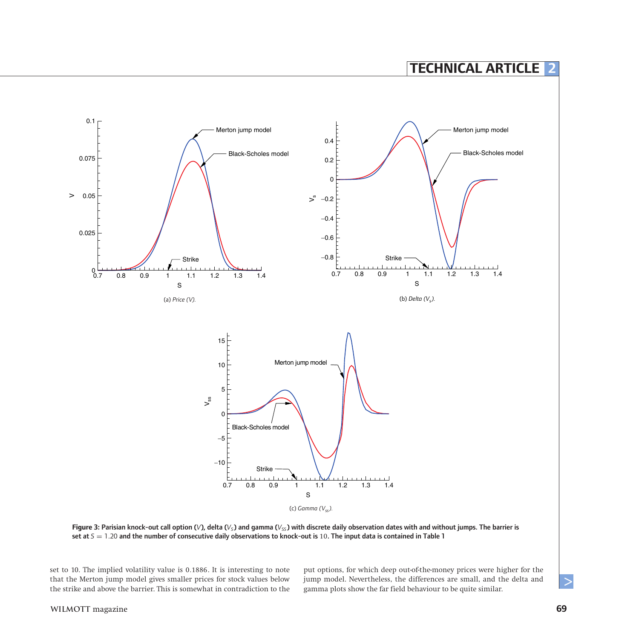

**Figure 3:** Parisian knock-out call option (*V*), delta (*V<sub>S</sub>*) and gamma (*V<sub>SS</sub>*) with discrete daily observation dates with and without jumps. The barrier is set at *S* = 1*.*20 and the number of consecutive daily observations to knock-out is 10. The input data is contained in Table 1

set to 10. The implied volatility value is 0*.*1886. It is interesting to note that the Merton jump model gives smaller prices for stock values below the strike and above the barrier. This is somewhat in contradiction to the

put options, for which deep out-of-the-money prices were higher for the jump model. Nevertheless, the differences are small, and the delta and gamma plots show the far field behaviour to be quite similar.